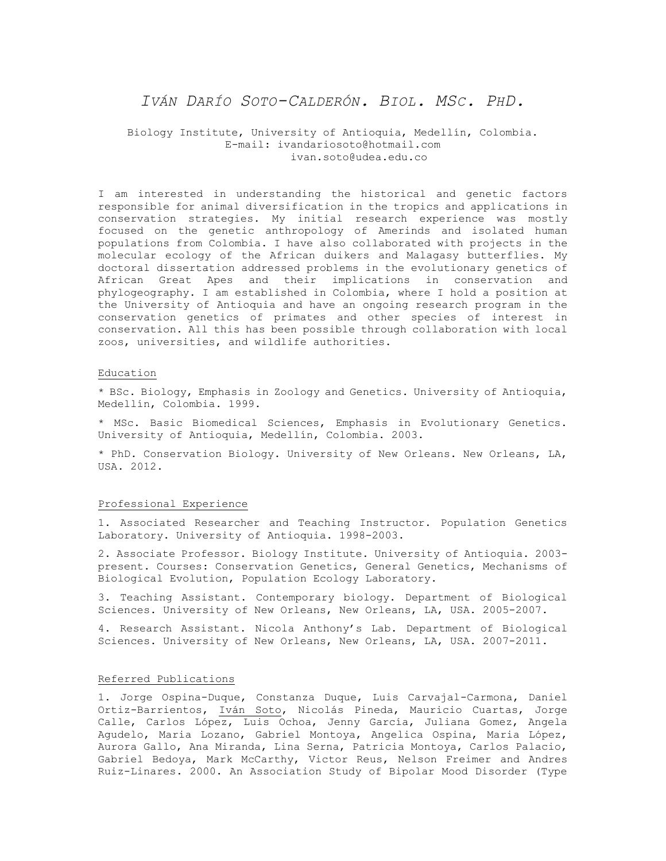# *IVÁN DARÍO SOTO-CALDERÓN. BIOL. MSC. PHD.*

# Biology Institute, University of Antioquia, Medellín, Colombia. E-mail: ivandariosoto@hotmail.com ivan.soto@udea.edu.co

I am interested in understanding the historical and genetic factors responsible for animal diversification in the tropics and applications in conservation strategies. My initial research experience was mostly focused on the genetic anthropology of Amerinds and isolated human populations from Colombia. I have also collaborated with projects in the molecular ecology of the African duikers and Malagasy butterflies. My doctoral dissertation addressed problems in the evolutionary genetics of African Great Apes and their implications in conservation and phylogeography. I am established in Colombia, where I hold a position at the University of Antioquia and have an ongoing research program in the conservation genetics of primates and other species of interest in conservation. All this has been possible through collaboration with local zoos, universities, and wildlife authorities.

### Education

\* BSc. Biology, Emphasis in Zoology and Genetics. University of Antioquia, Medellín, Colombia. 1999.

\* MSc. Basic Biomedical Sciences, Emphasis in Evolutionary Genetics. University of Antioquia, Medellín, Colombia. 2003.

\* PhD. Conservation Biology. University of New Orleans. New Orleans, LA, USA. 2012.

## Professional Experience

1. Associated Researcher and Teaching Instructor. Population Genetics Laboratory. University of Antioquia. 1998-2003.

2. Associate Professor. Biology Institute. University of Antioquia. 2003 present. Courses: Conservation Genetics, General Genetics, Mechanisms of Biological Evolution, Population Ecology Laboratory.

3. Teaching Assistant. Contemporary biology. Department of Biological Sciences. University of New Orleans, New Orleans, LA, USA. 2005-2007.

4. Research Assistant. Nicola Anthony's Lab. Department of Biological Sciences. University of New Orleans, New Orleans, LA, USA. 2007-2011.

## Referred Publications

1. Jorge Ospina-Duque, Constanza Duque, Luis Carvajal-Carmona, Daniel Ortiz-Barrientos, Iván Soto, Nicolás Pineda, Mauricio Cuartas, Jorge Calle, Carlos López, Luis Ochoa, Jenny García, Juliana Gomez, Angela Agudelo, Maria Lozano, Gabriel Montoya, Angelica Ospina, Maria López, Aurora Gallo, Ana Miranda, Lina Serna, Patricia Montoya, Carlos Palacio, Gabriel Bedoya, Mark McCarthy, Victor Reus, Nelson Freimer and Andres Ruiz-Linares. 2000. An Association Study of Bipolar Mood Disorder (Type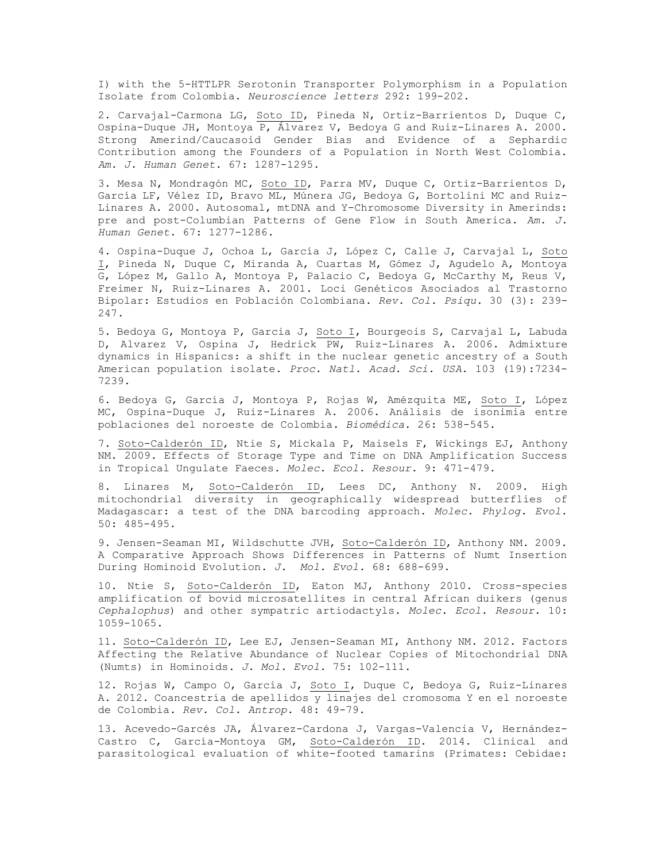I) with the 5-HTTLPR Serotonin Transporter Polymorphism in a Population Isolate from Colombia. *Neuroscience letters* 292: 199-202.

2. Carvajal-Carmona LG, Soto ID, Pineda N, Ortiz-Barrientos D, Duque C, Ospina-Duque JH, Montoya  $\overline{P}$ , Álvarez V, Bedoya G and Ruiz-Linares A. 2000. Strong Amerind/Caucasoid Gender Bias and Evidence of a Sephardic Contribution among the Founders of a Population in North West Colombia. *Am. J. Human Genet.* 67: 1287-1295.

3. Mesa N, Mondragón MC, Soto ID, Parra MV, Duque C, Ortiz-Barrientos D, García LF, Vélez ID, Bravo ML, Múnera JG, Bedoya G, Bortolini MC and Ruiz-Linares A. 2000. Autosomal, mtDNA and Y-Chromosome Diversity in Amerinds: pre and post-Columbian Patterns of Gene Flow in South America. *Am. J. Human Genet.* 67: 1277-1286.

4. Ospina-Duque J, Ochoa L, García J, López C, Calle J, Carvajal L, Soto I, Pineda N, Duque C, Miranda A, Cuartas M, Gómez J, Agudelo A, Montoya G, López M, Gallo A, Montoya P, Palacio C, Bedoya G, McCarthy M, Reus V, Freimer N, Ruiz-Linares A. 2001. Loci Genéticos Asociados al Trastorno Bipolar: Estudios en Población Colombiana. *Rev. Col. Psiqu.* 30 (3): 239- 247.

5. Bedoya G, Montoya P, Garcia J, Soto I, Bourgeois S, Carvajal L, Labuda D, Alvarez V, Ospina J, Hedrick PW, Ruiz-Linares A. 2006. Admixture dynamics in Hispanics: a shift in the nuclear genetic ancestry of a South American population isolate. *Proc. Natl. Acad. Sci. USA.* 103 (19):7234- 7239.

6. Bedoya G, García J, Montoya P, Rojas W, Amézquita ME, Soto I, López MC, Ospina-Duque J, Ruiz-Linares A. 2006. Análisis de isonimia entre poblaciones del noroeste de Colombia. *Biomédica*. 26: 538-545.

7. Soto-Calderón ID, Ntie S, Mickala P, Maisels F, Wickings EJ, Anthony NM. 2009. Effects of Storage Type and Time on DNA Amplification Success in Tropical Ungulate Faeces. *Molec. Ecol. Resour.* 9: 471-479.

8. Linares M, Soto-Calderón ID, Lees DC, Anthony N. 2009. High mitochondrial diversity in geographically widespread butterflies of Madagascar: a test of the DNA barcoding approach. *Molec. Phylog. Evol.*  50: 485-495.

9. Jensen-Seaman MI, Wildschutte JVH, Soto-Calderón ID, Anthony NM. 2009. A Comparative Approach Shows Differences in Patterns of Numt Insertion During Hominoid Evolution. *J. Mol. Evol.* 68: 688-699.

10. Ntie S, Soto-Calderón ID, Eaton MJ, Anthony 2010. Cross-species amplification of bovid microsatellites in central African duikers (genus *Cephalophus*) and other sympatric artiodactyls. *Molec. Ecol. Resour.* 10: 1059-1065.

11. Soto-Calderón ID, Lee EJ, Jensen-Seaman MI, Anthony NM. 2012. Factors Affecting the Relative Abundance of Nuclear Copies of Mitochondrial DNA (Numts) in Hominoids. *J. Mol. Evol.* 75: 102-111.

12. Rojas W, Campo O, García J, Soto I, Duque C, Bedoya G, Ruiz-Linares A. 2012. Coancestría de apellidos y linajes del cromosoma Y en el noroeste de Colombia. *Rev. Col. Antrop.* 48: 49-79.

13. Acevedo-Garcés JA, Álvarez-Cardona J, Vargas-Valencia V, Hernández-Castro C, García-Montoya GM, Soto-Calderón ID. 2014. Clinical and parasitological evaluation of white-footed tamarins (Primates: Cebidae: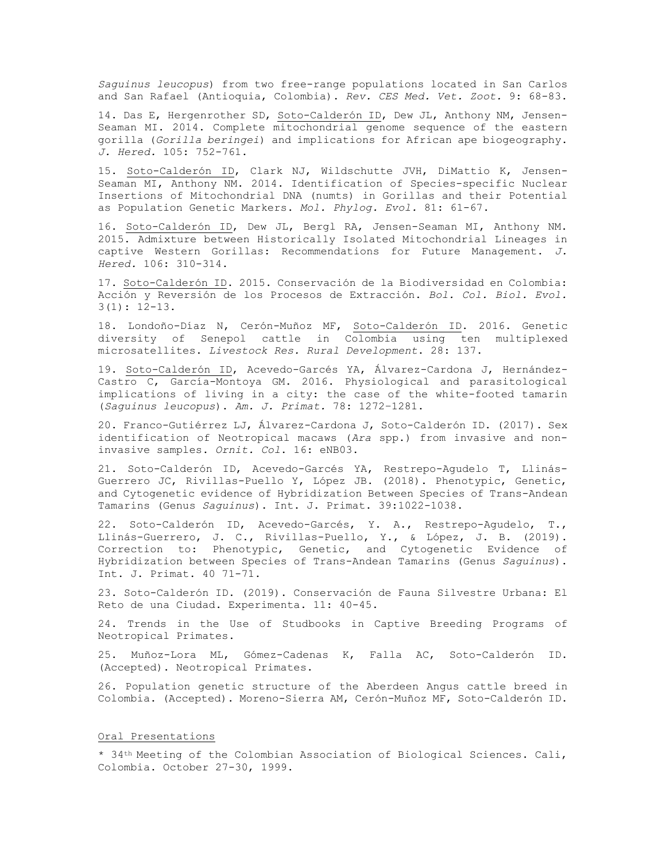*Saguinus leucopus*) from two free-range populations located in San Carlos and San Rafael (Antioquia, Colombia). *Rev. CES Med. Vet. Zoot.* 9: 68-83.

14. Das E, Hergenrother SD, Soto-Calderón ID, Dew JL, Anthony NM, Jensen-Seaman MI. 2014. Complete mitochondrial genome sequence of the eastern gorilla (*Gorilla beringei*) and implications for African ape biogeography. *J. Hered.* 105: 752-761.

15. Soto-Calderón ID, Clark NJ, Wildschutte JVH, DiMattio K, Jensen-Seaman MI, Anthony NM. 2014. Identification of Species-specific Nuclear Insertions of Mitochondrial DNA (numts) in Gorillas and their Potential as Population Genetic Markers. *Mol. Phylog. Evol.* 81: 61-67.

16. Soto-Calderón ID, Dew JL, Bergl RA, Jensen-Seaman MI, Anthony NM. 2015. Admixture between Historically Isolated Mitochondrial Lineages in captive Western Gorillas: Recommendations for Future Management. *J. Hered.* 106: 310-314.

17. Soto-Calderón ID. 2015. Conservación de la Biodiversidad en Colombia: Acción y Reversión de los Procesos de Extracción. *Bol. Col. Biol. Evol.*  $3(1): 12-13.$ 

18. Londoño-Díaz N, Cerón-Muñoz MF, Soto-Calderón ID. 2016. Genetic diversity of Senepol cattle in Colombia using ten multiplexed microsatellites. *Livestock Res. Rural Development*. 28: 137.

19. Soto-Calderón ID, Acevedo-Garcés YA, Álvarez-Cardona J, Hernández-Castro C, García-Montoya GM. 2016. Physiological and parasitological implications of living in a city: the case of the white-footed tamarin (*Saguinus leucopus*). *Am. J. Primat.* 78: 1272–1281.

20. Franco-Gutiérrez LJ, Álvarez-Cardona J, Soto-Calderón ID. (2017). Sex identification of Neotropical macaws (*Ara* spp.) from invasive and noninvasive samples. *Ornit. Col*. 16: eNB03.

21. Soto-Calderón ID, Acevedo-Garcés YA, Restrepo-Agudelo T, Llinás-Guerrero JC, Rivillas-Puello Y, López JB. (2018). Phenotypic, Genetic, and Cytogenetic evidence of Hybridization Between Species of Trans-Andean Tamarins (Genus *Saguinus*). Int. J. Primat. 39:1022-1038.

22. Soto-Calderón ID, Acevedo-Garcés, Y. A., Restrepo-Agudelo, T., Llinás-Guerrero, J. C., Rivillas-Puello, Y., & López, J. B. (2019). Correction to: Phenotypic, Genetic, and Cytogenetic Evidence of Hybridization between Species of Trans-Andean Tamarins (Genus *Saguinus*). Int. J. Primat. 40 71-71.

23. Soto-Calderón ID. (2019). Conservación de Fauna Silvestre Urbana: El Reto de una Ciudad. Experimenta. 11: 40-45.

24. Trends in the Use of Studbooks in Captive Breeding Programs of Neotropical Primates.

25. Muñoz-Lora ML, Gómez-Cadenas K, Falla AC, Soto-Calderón ID. (Accepted). Neotropical Primates.

26. Population genetic structure of the Aberdeen Angus cattle breed in Colombia. (Accepted). Moreno-Sierra AM, Cerón-Muñoz MF, Soto-Calderón ID.

#### Oral Presentations

\* 34th Meeting of the Colombian Association of Biological Sciences. Cali, Colombia. October 27-30, 1999.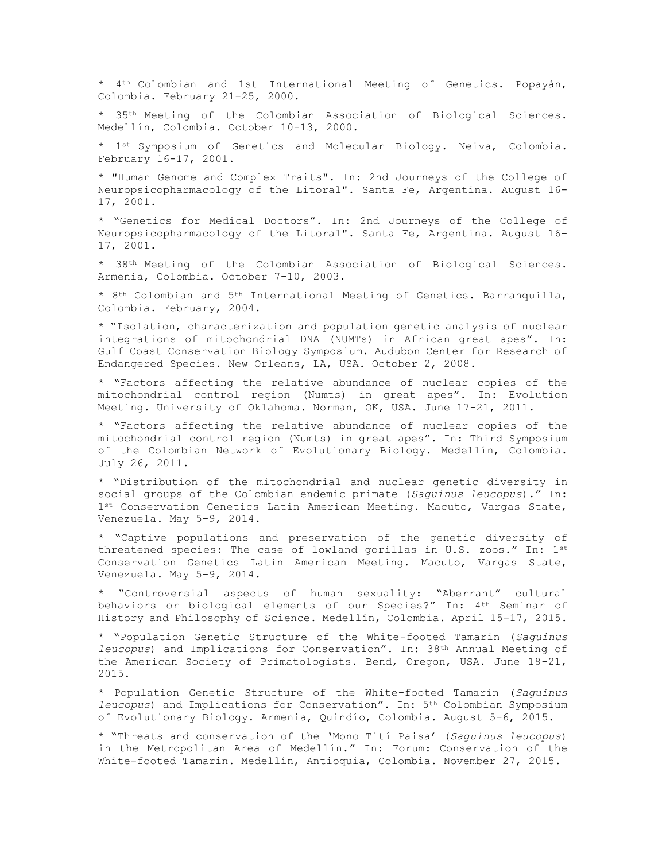\* 4th Colombian and 1st International Meeting of Genetics. Popayán, Colombia. February 21-25, 2000.

\* 35th Meeting of the Colombian Association of Biological Sciences. Medellín, Colombia. October 10-13, 2000.

\* 1st Symposium of Genetics and Molecular Biology. Neiva, Colombia. February 16-17, 2001.

\* "Human Genome and Complex Traits". In: 2nd Journeys of the College of Neuropsicopharmacology of the Litoral". Santa Fe, Argentina. August 16- 17, 2001.

\* "Genetics for Medical Doctors". In: 2nd Journeys of the College of Neuropsicopharmacology of the Litoral". Santa Fe, Argentina. August 16- 17, 2001.

\* 38th Meeting of the Colombian Association of Biological Sciences. Armenia, Colombia. October 7-10, 2003.

\* 8th Colombian and 5th International Meeting of Genetics. Barranquilla, Colombia. February, 2004.

\* "Isolation, characterization and population genetic analysis of nuclear integrations of mitochondrial DNA (NUMTs) in African great apes". In: Gulf Coast Conservation Biology Symposium. Audubon Center for Research of Endangered Species. New Orleans, LA, USA. October 2, 2008.

\* "Factors affecting the relative abundance of nuclear copies of the mitochondrial control region (Numts) in great apes". In: Evolution Meeting. University of Oklahoma. Norman, OK, USA. June 17-21, 2011.

\* "Factors affecting the relative abundance of nuclear copies of the mitochondrial control region (Numts) in great apes". In: Third Symposium of the Colombian Network of Evolutionary Biology. Medellín, Colombia. July 26, 2011.

\* "Distribution of the mitochondrial and nuclear genetic diversity in social groups of the Colombian endemic primate (*Saguinus leucopus*)." In: 1st Conservation Genetics Latin American Meeting. Macuto, Vargas State, Venezuela. May 5-9, 2014.

\* "Captive populations and preservation of the genetic diversity of threatened species: The case of lowland gorillas in U.S. zoos." In: 1st Conservation Genetics Latin American Meeting. Macuto, Vargas State, Venezuela. May 5-9, 2014.

\* "Controversial aspects of human sexuality: "Aberrant" cultural behaviors or biological elements of our Species?" In: 4th Seminar of History and Philosophy of Science. Medellín, Colombia. April 15-17, 2015.

\* "Population Genetic Structure of the White-footed Tamarin (*Saguinus leucopus*) and Implications for Conservation". In: 38th Annual Meeting of the American Society of Primatologists. Bend, Oregon, USA. June 18-21, 2015.

\* Population Genetic Structure of the White-footed Tamarin (*Saguinus leucopus*) and Implications for Conservation". In: 5th Colombian Symposium of Evolutionary Biology. Armenia, Quindío, Colombia. August 5-6, 2015.

\* "Threats and conservation of the 'Mono Tití Paisa' (*Saguinus leucopus*) in the Metropolitan Area of Medellín." In: Forum: Conservation of the White-footed Tamarin. Medellín, Antioquia, Colombia. November 27, 2015.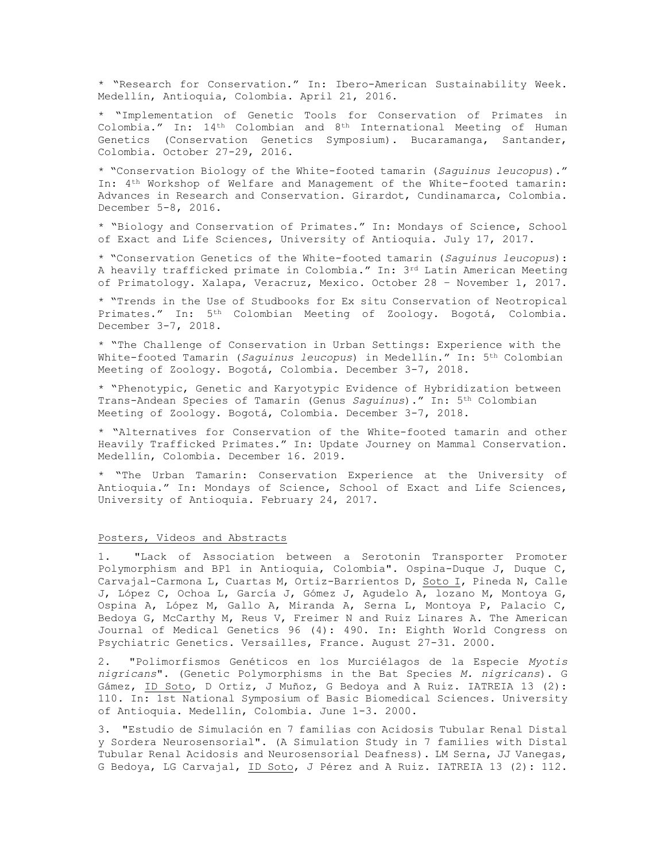\* "Research for Conservation." In: Ibero-American Sustainability Week. Medellín, Antioquia, Colombia. April 21, 2016.

\* "Implementation of Genetic Tools for Conservation of Primates in Colombia." In: 14th Colombian and 8th International Meeting of Human Genetics (Conservation Genetics Symposium). Bucaramanga, Santander, Colombia. October 27-29, 2016.

\* "Conservation Biology of the White-footed tamarin (*Saguinus leucopus*)." In: 4th Workshop of Welfare and Management of the White-footed tamarin: Advances in Research and Conservation. Girardot, Cundinamarca, Colombia. December 5-8, 2016.

\* "Biology and Conservation of Primates." In: Mondays of Science, School of Exact and Life Sciences, University of Antioquia. July 17, 2017.

\* "Conservation Genetics of the White-footed tamarin (*Saguinus leucopus*): A heavily trafficked primate in Colombia." In: 3rd Latin American Meeting of Primatology. Xalapa, Veracruz, Mexico. October 28 – November 1, 2017.

\* "Trends in the Use of Studbooks for Ex situ Conservation of Neotropical Primates." In: 5th Colombian Meeting of Zoology. Bogotá, Colombia. December 3-7, 2018.

\* "The Challenge of Conservation in Urban Settings: Experience with the White-footed Tamarin (*Saguinus leucopus*) in Medellín." In: 5th Colombian Meeting of Zoology. Bogotá, Colombia. December 3-7, 2018.

\* "Phenotypic, Genetic and Karyotypic Evidence of Hybridization between Trans-Andean Species of Tamarin (Genus *Saguinus*)." In: 5th Colombian Meeting of Zoology. Bogotá, Colombia. December 3-7, 2018.

\* "Alternatives for Conservation of the White-footed tamarin and other Heavily Trafficked Primates." In: Update Journey on Mammal Conservation. Medellín, Colombia. December 16. 2019.

\* "The Urban Tamarin: Conservation Experience at the University of Antioquia." In: Mondays of Science, School of Exact and Life Sciences, University of Antioquia. February 24, 2017.

# Posters, Videos and Abstracts

1. "Lack of Association between a Serotonin Transporter Promoter Polymorphism and BP1 in Antioquia, Colombia". Ospina-Duque J, Duque C, Carvajal-Carmona L, Cuartas M, Ortiz-Barrientos D, Soto I, Pineda N, Calle J, López C, Ochoa L, García J, Gómez J, Agudelo A, lozano M, Montoya G, Ospina A, López M, Gallo A, Miranda A, Serna L, Montoya P, Palacio C, Bedoya G, McCarthy M, Reus V, Freimer N and Ruiz Linares A. The American Journal of Medical Genetics 96 (4): 490. In: Eighth World Congress on Psychiatric Genetics. Versailles, France. August 27-31. 2000.

2. "Polimorfismos Genéticos en los Murciélagos de la Especie *Myotis nigricans*". (Genetic Polymorphisms in the Bat Species *M. nigricans*). G Gámez, ID Soto, D Ortiz, J Muñoz, G Bedoya and A Ruiz. IATREIA 13 (2): 110. In: 1st National Symposium of Basic Biomedical Sciences. University of Antioquia. Medellín, Colombia. June 1-3. 2000.

3. "Estudio de Simulación en 7 familias con Acidosis Tubular Renal Distal y Sordera Neurosensorial". (A Simulation Study in 7 families with Distal Tubular Renal Acidosis and Neurosensorial Deafness). LM Serna, JJ Vanegas, G Bedoya, LG Carvajal, ID Soto, J Pérez and A Ruiz. IATREIA 13 (2): 112.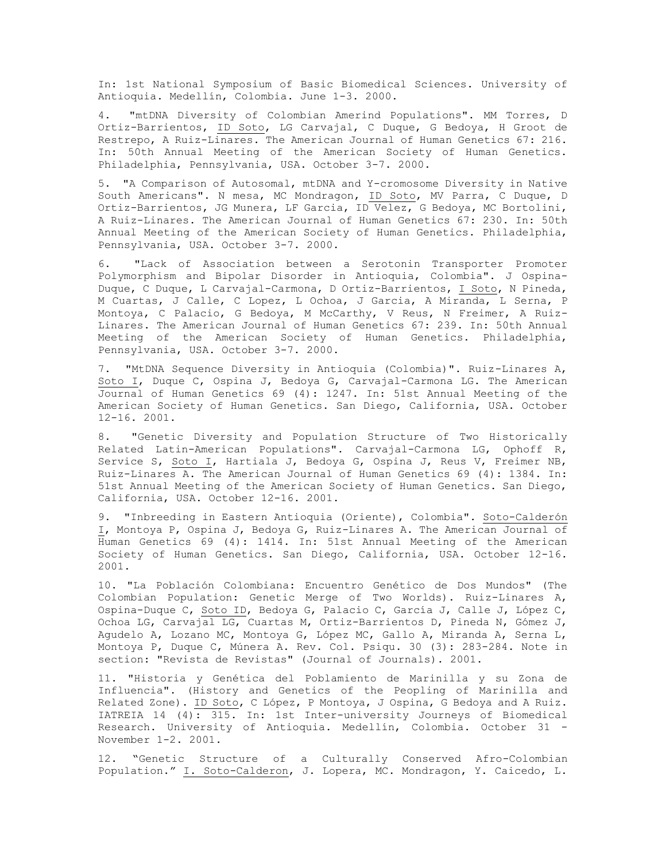In: 1st National Symposium of Basic Biomedical Sciences. University of Antioquia. Medellín, Colombia. June 1-3. 2000.

4. "mtDNA Diversity of Colombian Amerind Populations". MM Torres, D Ortiz-Barrientos, ID Soto, LG Carvajal, C Duque, G Bedoya, H Groot de Restrepo, A Ruiz-Linares. The American Journal of Human Genetics 67: 216. In: 50th Annual Meeting of the American Society of Human Genetics. Philadelphia, Pennsylvania, USA. October 3-7. 2000.

5. "A Comparison of Autosomal, mtDNA and Y-cromosome Diversity in Native South Americans". N mesa, MC Mondragon, ID Soto, MV Parra, C Duque, D Ortiz-Barrientos, JG Munera, LF Garcia, ID Velez, G Bedoya, MC Bortolini, A Ruiz-Linares. The American Journal of Human Genetics 67: 230. In: 50th Annual Meeting of the American Society of Human Genetics. Philadelphia, Pennsylvania, USA. October 3-7. 2000.

6. "Lack of Association between a Serotonin Transporter Promoter Polymorphism and Bipolar Disorder in Antioquia, Colombia". J Ospina-Duque, C Duque, L Carvajal-Carmona, D Ortiz-Barrientos, I Soto, N Pineda, M Cuartas, J Calle, C Lopez, L Ochoa, J Garcia, A Miranda, L Serna, P Montoya, C Palacio, G Bedoya, M McCarthy, V Reus, N Freimer, A Ruiz-Linares. The American Journal of Human Genetics 67: 239. In: 50th Annual Meeting of the American Society of Human Genetics. Philadelphia, Pennsylvania, USA. October 3-7. 2000.

7. "MtDNA Sequence Diversity in Antioquia (Colombia)". Ruiz-Linares A, Soto I, Duque C, Ospina J, Bedoya G, Carvajal-Carmona LG. The American Journal of Human Genetics 69 (4): 1247. In: 51st Annual Meeting of the American Society of Human Genetics. San Diego, California, USA. October 12-16. 2001.

8. "Genetic Diversity and Population Structure of Two Historically Related Latin-American Populations". Carvajal-Carmona LG, Ophoff R, Service S, Soto I, Hartiala J, Bedoya G, Ospina J, Reus V, Freimer NB, Ruiz-Linares A. The American Journal of Human Genetics 69 (4): 1384. In: 51st Annual Meeting of the American Society of Human Genetics. San Diego, California, USA. October 12-16. 2001.

9. "Inbreeding in Eastern Antioquia (Oriente), Colombia". Soto-Calderón I, Montoya P, Ospina J, Bedoya G, Ruiz-Linares A. The American Journal of Human Genetics 69 (4): 1414. In: 51st Annual Meeting of the American Society of Human Genetics. San Diego, California, USA. October 12-16. 2001.

10. "La Población Colombiana: Encuentro Genético de Dos Mundos" (The Colombian Population: Genetic Merge of Two Worlds). Ruiz-Linares A, Ospina-Duque C, Soto ID, Bedoya G, Palacio C, García J, Calle J, López C, Ochoa LG, Carvajal LG, Cuartas M, Ortiz-Barrientos D, Pineda N, Gómez J, Agudelo A, Lozano MC, Montoya G, López MC, Gallo A, Miranda A, Serna L, Montoya P, Duque C, Múnera A. Rev. Col. Psiqu. 30 (3): 283-284. Note in section: "Revista de Revistas" (Journal of Journals). 2001.

11. "Historia y Genética del Poblamiento de Marinilla y su Zona de Influencia". (History and Genetics of the Peopling of Marinilla and Related Zone). ID Soto, C López, P Montoya, J Ospina, G Bedoya and A Ruiz. IATREIA 14 (4): 315. In: 1st Inter-university Journeys of Biomedical Research. University of Antioquia. Medellín, Colombia. October 31 - November 1-2. 2001.

12. "Genetic Structure of a Culturally Conserved Afro-Colombian Population." I. Soto-Calderon, J. Lopera, MC. Mondragon, Y. Caicedo, L.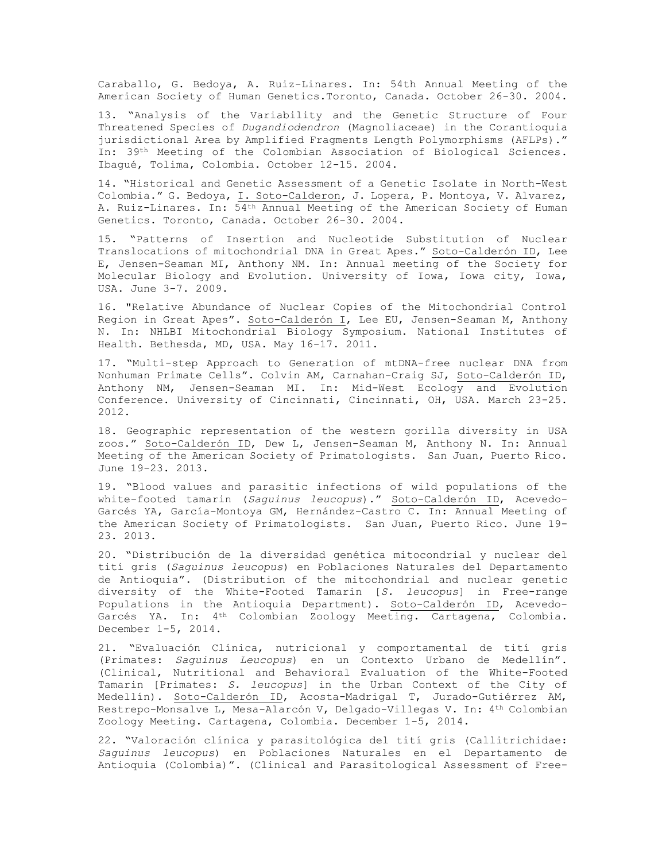Caraballo, G. Bedoya, A. Ruiz-Linares. In: 54th Annual Meeting of the American Society of Human Genetics.Toronto, Canada. October 26-30. 2004.

13. "Analysis of the Variability and the Genetic Structure of Four Threatened Species of *Dugandiodendron* (Magnoliaceae) in the Corantioquia jurisdictional Area by Amplified Fragments Length Polymorphisms (AFLPs)." In: 39th Meeting of the Colombian Association of Biological Sciences. Ibagué, Tolima, Colombia. October 12-15. 2004.

14. "Historical and Genetic Assessment of a Genetic Isolate in North-West Colombia." G. Bedoya, I. Soto-Calderon, J. Lopera, P. Montoya, V. Alvarez, A. Ruiz-Linares. In: 54th Annual Meeting of the American Society of Human Genetics. Toronto, Canada. October 26-30. 2004.

15. "Patterns of Insertion and Nucleotide Substitution of Nuclear Translocations of mitochondrial DNA in Great Apes." Soto-Calderón ID, Lee E, Jensen-Seaman MI, Anthony NM. In: Annual meeting of the Society for Molecular Biology and Evolution. University of Iowa, Iowa city, Iowa, USA. June 3-7. 2009.

16. "Relative Abundance of Nuclear Copies of the Mitochondrial Control Region in Great Apes". Soto-Calderón I, Lee EU, Jensen-Seaman M, Anthony N. In: NHLBI Mitochondrial Biology Symposium. National Institutes of Health. Bethesda, MD, USA. May 16-17. 2011.

17. "Multi-step Approach to Generation of mtDNA-free nuclear DNA from Nonhuman Primate Cells". Colvin AM, Carnahan-Craig SJ, Soto-Calderón ID, Anthony NM, Jensen-Seaman MI. In: Mid-West Ecology and Evolution Conference. University of Cincinnati, Cincinnati, OH, USA. March 23-25. 2012.

18. Geographic representation of the western gorilla diversity in USA zoos." Soto-Calderón ID, Dew L, Jensen-Seaman M, Anthony N. In: Annual Meeting of the American Society of Primatologists. San Juan, Puerto Rico. June 19-23. 2013.

19. "Blood values and parasitic infections of wild populations of the white-footed tamarin (*Saguinus leucopus*)." Soto-Calderón ID, Acevedo-Garcés YA, García-Montoya GM, Hernández-Castro C. In: Annual Meeting of the American Society of Primatologists. San Juan, Puerto Rico. June 19- 23. 2013.

20. "Distribución de la diversidad genética mitocondrial y nuclear del tití gris (*Saguinus leucopus*) en Poblaciones Naturales del Departamento de Antioquia". (Distribution of the mitochondrial and nuclear genetic diversity of the White-Footed Tamarin [*S. leucopus*] in Free-range Populations in the Antioquia Department). Soto-Calderón ID, Acevedo-Garcés YA. In: 4th Colombian Zoology Meeting. Cartagena, Colombia. December 1-5, 2014.

21. "Evaluación Clínica, nutricional y comportamental de tití gris (Primates: *Saguinus Leucopus*) en un Contexto Urbano de Medellín". (Clinical, Nutritional and Behavioral Evaluation of the White-Footed Tamarin [Primates: *S. leucopus*] in the Urban Context of the City of Medellín). Soto-Calderón ID, Acosta-Madrigal T, Jurado-Gutiérrez AM, Restrepo-Monsalve L, Mesa-Alarcón V, Delgado-Villegas V. In: 4th Colombian Zoology Meeting. Cartagena, Colombia. December 1-5, 2014.

22. "Valoración clínica y parasitológica del tití gris (Callitrichidae: *Saguinus leucopus*) en Poblaciones Naturales en el Departamento de Antioquia (Colombia)". (Clinical and Parasitological Assessment of Free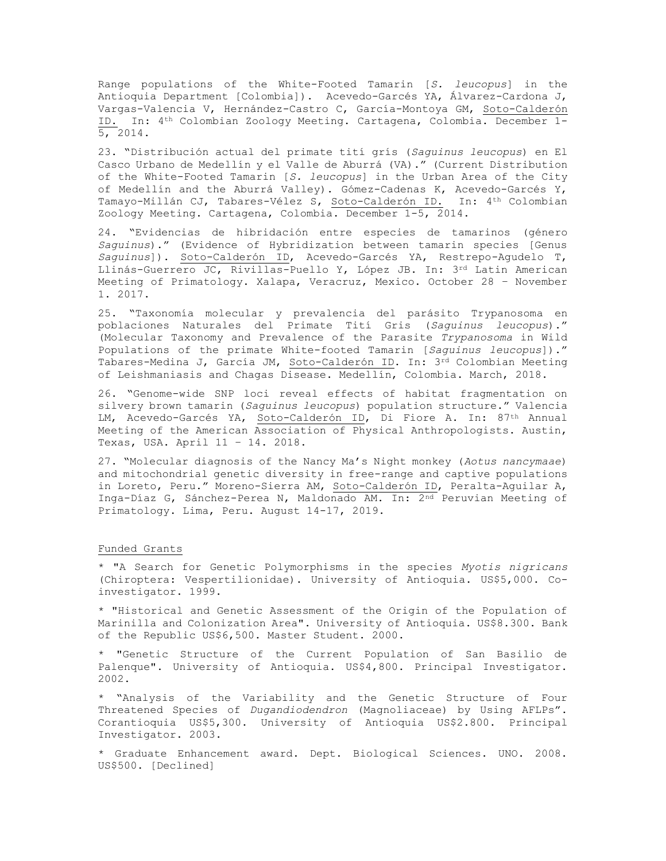Range populations of the White-Footed Tamarin [*S. leucopus*] in the Antioquia Department [Colombia]). Acevedo-Garcés YA, Álvarez-Cardona J, Vargas-Valencia V, Hernández-Castro C, García-Montoya GM, Soto-Calderón ID. In: 4th Colombian Zoology Meeting. Cartagena, Colombia. December 1- 5, 2014.

23. "Distribución actual del primate tití grís (*Saguinus leucopus*) en El Casco Urbano de Medellín y el Valle de Aburrá (VA)." (Current Distribution of the White-Footed Tamarin [*S. leucopus*] in the Urban Area of the City of Medellín and the Aburrá Valley). Gómez-Cadenas K, Acevedo-Garcés Y, Tamayo-Millán CJ, Tabares-Vélez S, Soto-Calderón ID. In: 4th Colombian Zoology Meeting. Cartagena, Colombia. December 1-5, 2014.

24. "Evidencias de hibridación entre especies de tamarinos (género *Saguinus*)." (Evidence of Hybridization between tamarin species [Genus *Saguinus*]). Soto-Calderón ID, Acevedo-Garcés YA, Restrepo-Agudelo T, Llinás-Guerrero JC, Rivillas-Puello Y, López JB. In: 3rd Latin American Meeting of Primatology. Xalapa, Veracruz, Mexico. October 28 – November 1. 2017.

25. "Taxonomía molecular y prevalencia del parásito Trypanosoma en poblaciones Naturales del Primate Tití Gris (*Saguinus leucopus*)." (Molecular Taxonomy and Prevalence of the Parasite *Trypanosoma* in Wild Populations of the primate White-footed Tamarin [*Saguinus leucopus*])." Tabares-Medina J, García JM, Soto-Calderón ID. In: 3rd Colombian Meeting of Leishmaniasis and Chagas Disease. Medellín, Colombia. March, 2018.

26. "Genome-wide SNP loci reveal effects of habitat fragmentation on silvery brown tamarin (*Saguinus leucopus*) population structure." Valencia LM, Acevedo-Garcés YA, Soto-Calderón ID, Di Fiore A. In: 87<sup>th</sup> Annual Meeting of the American Association of Physical Anthropologists. Austin, Texas, USA. April 11 – 14. 2018.

27. "Molecular diagnosis of the Nancy Ma's Night monkey (*Aotus nancymaae*) and mitochondrial genetic diversity in free-range and captive populations in Loreto, Peru." Moreno-Sierra AM, Soto-Calderón ID, Peralta-Aguilar A, Inga-Díaz G, Sánchez-Perea N, Maldonado AM. In: 2nd Peruvian Meeting of Primatology. Lima, Peru. August 14-17, 2019.

# Funded Grants

\* "A Search for Genetic Polymorphisms in the species *Myotis nigricans* (Chiroptera: Vespertilionidae). University of Antioquia. US\$5,000. Coinvestigator. 1999.

\* "Historical and Genetic Assessment of the Origin of the Population of Marinilla and Colonization Area". University of Antioquia. US\$8.300. Bank of the Republic US\$6,500. Master Student. 2000.

\* "Genetic Structure of the Current Population of San Basilio de Palenque". University of Antioquia. US\$4,800. Principal Investigator. 2002.

\* "Analysis of the Variability and the Genetic Structure of Four Threatened Species of *Dugandiodendron* (Magnoliaceae) by Using AFLPs". Corantioquia US\$5,300. University of Antioquia US\$2.800. Principal Investigator. 2003.

\* Graduate Enhancement award. Dept. Biological Sciences. UNO. 2008. US\$500. [Declined]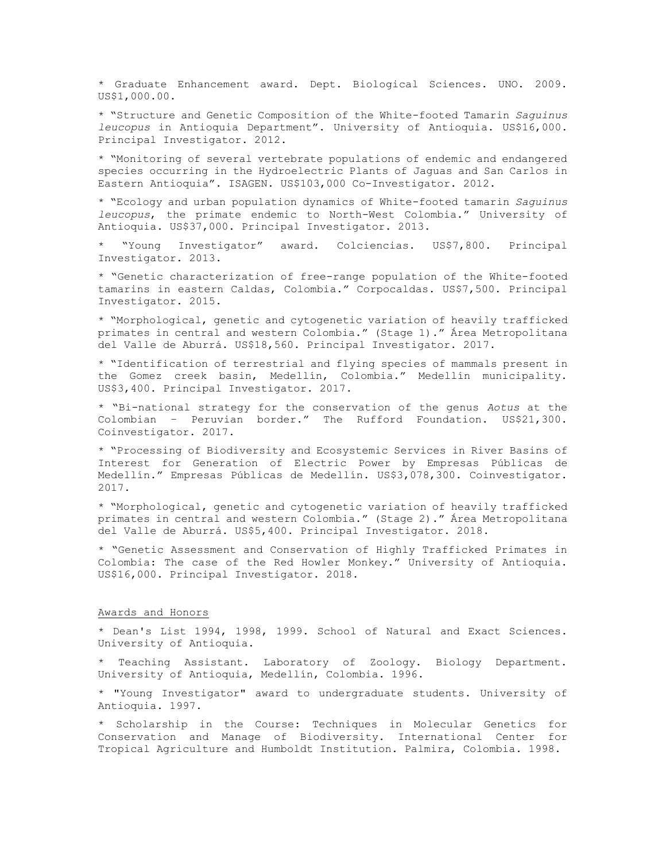\* Graduate Enhancement award. Dept. Biological Sciences. UNO. 2009. US\$1,000.00.

\* "Structure and Genetic Composition of the White-footed Tamarin *Saguinus leucopus* in Antioquia Department". University of Antioquia. US\$16,000. Principal Investigator. 2012.

\* "Monitoring of several vertebrate populations of endemic and endangered species occurring in the Hydroelectric Plants of Jaguas and San Carlos in Eastern Antioquia". ISAGEN. US\$103,000 Co-Investigator. 2012.

\* "Ecology and urban population dynamics of White-footed tamarin *Saguinus leucopus*, the primate endemic to North-West Colombia." University of Antioquia. US\$37,000. Principal Investigator. 2013.

\* "Young Investigator" award. Colciencias. US\$7,800. Principal Investigator. 2013.

\* "Genetic characterization of free-range population of the White-footed tamarins in eastern Caldas, Colombia." Corpocaldas. US\$7,500. Principal Investigator. 2015.

\* "Morphological, genetic and cytogenetic variation of heavily trafficked primates in central and western Colombia." (Stage 1)." Área Metropolitana del Valle de Aburrá. US\$18,560. Principal Investigator. 2017.

\* "Identification of terrestrial and flying species of mammals present in the Gomez creek basin, Medellín, Colombia." Medellín municipality. US\$3,400. Principal Investigator. 2017.

\* "Bi-national strategy for the conservation of the genus *Aotus* at the Colombian – Peruvian border." The Rufford Foundation. US\$21,300. Coinvestigator. 2017.

\* "Processing of Biodiversity and Ecosystemic Services in River Basins of Interest for Generation of Electric Power by Empresas Públicas de Medellín." Empresas Públicas de Medellín. US\$3,078,300. Coinvestigator. 2017.

\* "Morphological, genetic and cytogenetic variation of heavily trafficked primates in central and western Colombia." (Stage 2)." Área Metropolitana del Valle de Aburrá. US\$5,400. Principal Investigator. 2018.

\* "Genetic Assessment and Conservation of Highly Trafficked Primates in Colombia: The case of the Red Howler Monkey." University of Antioquia. US\$16,000. Principal Investigator. 2018.

#### Awards and Honors

\* Dean's List 1994, 1998, 1999. School of Natural and Exact Sciences. University of Antioquia.

\* Teaching Assistant. Laboratory of Zoology. Biology Department. University of Antioquia, Medellín, Colombia. 1996.

\* "Young Investigator" award to undergraduate students. University of Antioquia. 1997.

\* Scholarship in the Course: Techniques in Molecular Genetics for Conservation and Manage of Biodiversity. International Center for Tropical Agriculture and Humboldt Institution. Palmira, Colombia. 1998.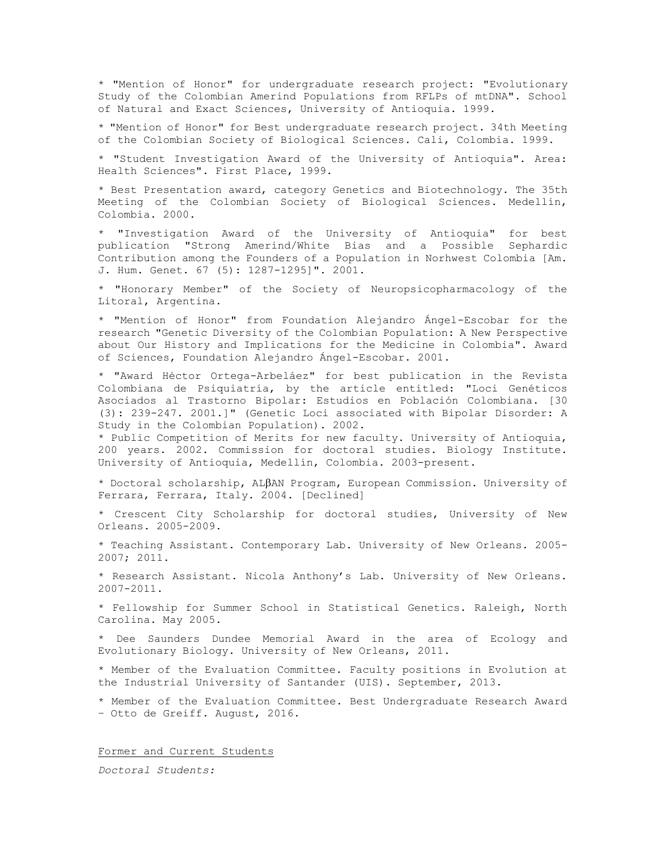\* "Mention of Honor" for undergraduate research project: "Evolutionary Study of the Colombian Amerind Populations from RFLPs of mtDNA". School of Natural and Exact Sciences, University of Antioquia. 1999.

\* "Mention of Honor" for Best undergraduate research project. 34th Meeting of the Colombian Society of Biological Sciences. Cali, Colombia. 1999.

\* "Student Investigation Award of the University of Antioquia". Area: Health Sciences". First Place, 1999.

\* Best Presentation award, category Genetics and Biotechnology. The 35th Meeting of the Colombian Society of Biological Sciences. Medellín, Colombia. 2000.

\* "Investigation Award of the University of Antioquia" for best publication "Strong Amerind/White Bias and a Possible Sephardic Contribution among the Founders of a Population in Norhwest Colombia [Am. J. Hum. Genet. 67 (5): 1287-1295]". 2001.

\* "Honorary Member" of the Society of Neuropsicopharmacology of the Litoral, Argentina.

\* "Mention of Honor" from Foundation Alejandro Ángel-Escobar for the research "Genetic Diversity of the Colombian Population: A New Perspective about Our History and Implications for the Medicine in Colombia". Award of Sciences, Foundation Alejandro Ángel-Escobar. 2001.

\* "Award Héctor Ortega-Arbeláez" for best publication in the Revista Colombiana de Psiquiatría, by the article entitled: "Loci Genéticos Asociados al Trastorno Bipolar: Estudios en Población Colombiana. [30 (3): 239-247. 2001.]" (Genetic Loci associated with Bipolar Disorder: A Study in the Colombian Population). 2002.

\* Public Competition of Merits for new faculty. University of Antioquia, 200 years. 2002. Commission for doctoral studies. Biology Institute. University of Antioquia, Medellín, Colombia. 2003-present.

\* Doctoral scholarship, ALAN Program, European Commission. University of Ferrara, Ferrara, Italy. 2004. [Declined]

\* Crescent City Scholarship for doctoral studies, University of New Orleans. 2005-2009.

\* Teaching Assistant. Contemporary Lab. University of New Orleans. 2005- 2007; 2011.

\* Research Assistant. Nicola Anthony's Lab. University of New Orleans. 2007-2011.

\* Fellowship for Summer School in Statistical Genetics. Raleigh, North Carolina. May 2005.

\* Dee Saunders Dundee Memorial Award in the area of Ecology and Evolutionary Biology. University of New Orleans, 2011.

\* Member of the Evaluation Committee. Faculty positions in Evolution at the Industrial University of Santander (UIS). September, 2013.

\* Member of the Evaluation Committee. Best Undergraduate Research Award – Otto de Greiff. August, 2016.

Former and Current Students

*Doctoral Students:*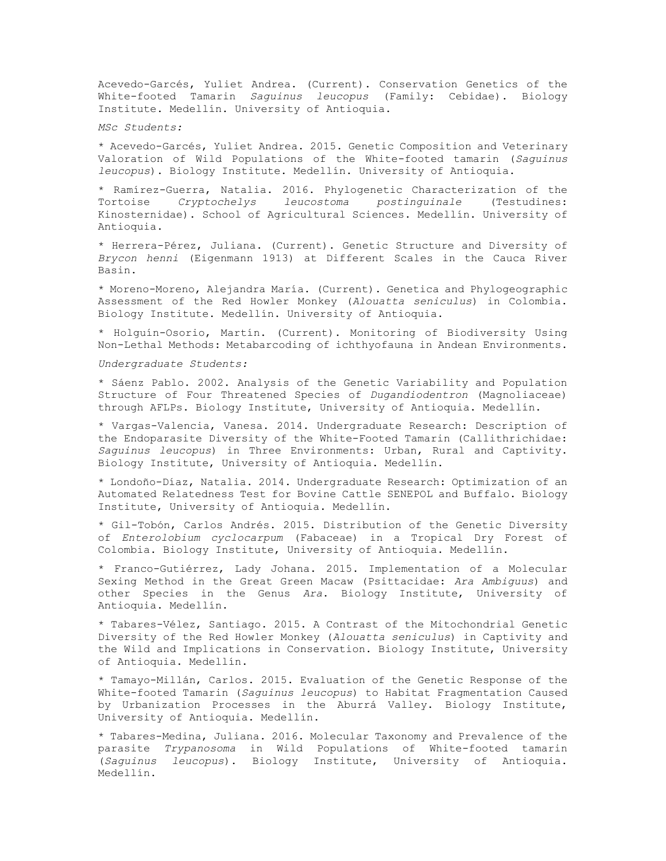Acevedo-Garcés, Yuliet Andrea. (Current). Conservation Genetics of the White-footed Tamarin *Saguinus leucopus* (Family: Cebidae). Biology Institute. Medellín. University of Antioquia.

*MSc Students:*

\* Acevedo-Garcés, Yuliet Andrea. 2015. Genetic Composition and Veterinary Valoration of Wild Populations of the White-footed tamarin (*Saguinus leucopus*). Biology Institute. Medellín. University of Antioquia.

\* Ramírez-Guerra, Natalia. 2016. Phylogenetic Characterization of the Tortoise *Cryptochelys leucostoma postinguinale* (Testudines: Kinosternidae). School of Agricultural Sciences. Medellín. University of Antioquia.

\* Herrera-Pérez, Juliana. (Current). Genetic Structure and Diversity of *Brycon henni* (Eigenmann 1913) at Different Scales in the Cauca River Basin.

\* Moreno-Moreno, Alejandra María. (Current). Genetica and Phylogeographic Assessment of the Red Howler Monkey (*Alouatta seniculus*) in Colombia. Biology Institute. Medellín. University of Antioquia.

\* Holguín-Osorio, Martín. (Current). Monitoring of Biodiversity Using Non-Lethal Methods: Metabarcoding of ichthyofauna in Andean Environments.

*Undergraduate Students:*

\* Sáenz Pablo. 2002. Analysis of the Genetic Variability and Population Structure of Four Threatened Species of *Dugandiodentron* (Magnoliaceae) through AFLPs. Biology Institute, University of Antioquia. Medellín.

\* Vargas-Valencia, Vanesa. 2014. Undergraduate Research: Description of the Endoparasite Diversity of the White-Footed Tamarin (Callithrichidae: *Saguinus leucopus*) in Three Environments: Urban, Rural and Captivity. Biology Institute, University of Antioquia. Medellín.

\* Londoño-Díaz, Natalia. 2014. Undergraduate Research: Optimization of an Automated Relatedness Test for Bovine Cattle SENEPOL and Buffalo. Biology Institute, University of Antioquia. Medellín.

\* Gil-Tobón, Carlos Andrés. 2015. Distribution of the Genetic Diversity of *Enterolobium cyclocarpum* (Fabaceae) in a Tropical Dry Forest of Colombia. Biology Institute, University of Antioquia. Medellín.

\* Franco-Gutiérrez, Lady Johana. 2015. Implementation of a Molecular Sexing Method in the Great Green Macaw (Psittacidae: *Ara Ambiguus*) and other Species in the Genus *Ara*. Biology Institute, University of Antioquia. Medellín.

\* Tabares-Vélez, Santiago. 2015. A Contrast of the Mitochondrial Genetic Diversity of the Red Howler Monkey (*Alouatta seniculus*) in Captivity and the Wild and Implications in Conservation. Biology Institute, University of Antioquia. Medellín.

\* Tamayo-Millán, Carlos. 2015. Evaluation of the Genetic Response of the White-footed Tamarin (*Saguinus leucopus*) to Habitat Fragmentation Caused by Urbanization Processes in the Aburrá Valley. Biology Institute, University of Antioquia. Medellín.

\* Tabares-Medina, Juliana. 2016. Molecular Taxonomy and Prevalence of the parasite *Trypanosoma* in Wild Populations of White-footed tamarin (*Saguinus leucopus*). Biology Institute, University of Antioquia. Medellín.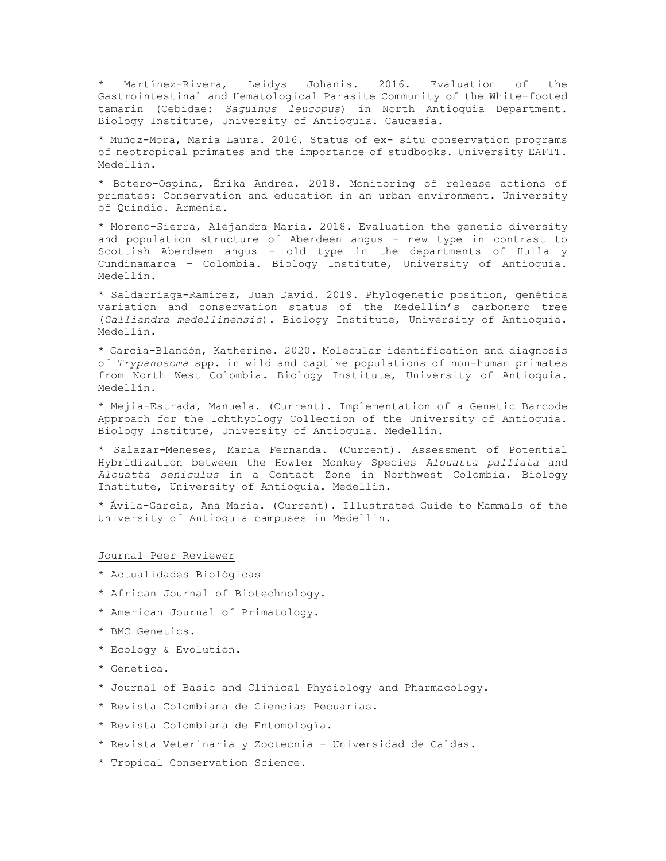\* Martínez-Rivera, Leidys Johanis. 2016. Evaluation of the Gastrointestinal and Hematological Parasite Community of the White-footed tamarin (Cebidae: *Saguinus leucopus*) in North Antioquia Department. Biology Institute, University of Antioquia. Caucasia.

\* Muñoz-Mora, Maria Laura. 2016. Status of ex- situ conservation programs of neotropical primates and the importance of studbooks. University EAFIT. Medellín.

\* Botero-Ospina, Érika Andrea. 2018. Monitoring of release actions of primates: Conservation and education in an urban environment. University of Quindío. Armenia.

\* Moreno-Sierra, Alejandra María. 2018. Evaluation the genetic diversity and population structure of Aberdeen angus - new type in contrast to Scottish Aberdeen angus - old type in the departments of Huila y Cundinamarca – Colombia. Biology Institute, University of Antioquia. Medellín.

\* Saldarriaga-Ramírez, Juan David. 2019. Phylogenetic position, genética variation and conservation status of the Medellín's carbonero tree (*Calliandra medellinensis*). Biology Institute, University of Antioquia. Medellín.

\* García-Blandón, Katherine. 2020. Molecular identification and diagnosis of *Trypanosoma* spp. in wild and captive populations of non-human primates from North West Colombia. Biology Institute, University of Antioquia. Medellín.

\* Mejía-Estrada, Manuela. (Current). Implementation of a Genetic Barcode Approach for the Ichthyology Collection of the University of Antioquia. Biology Institute, University of Antioquia. Medellín.

\* Salazar-Meneses, Maria Fernanda. (Current). Assessment of Potential Hybridization between the Howler Monkey Species *Alouatta palliata* and *Alouatta seniculus* in a Contact Zone in Northwest Colombia. Biology Institute, University of Antioquia. Medellín.

\* Ávila-García, Ana María. (Current). Illustrated Guide to Mammals of the University of Antioquia campuses in Medellín.

## Journal Peer Reviewer

- \* Actualidades Biológicas
- \* African Journal of Biotechnology.
- \* American Journal of Primatology.
- \* BMC Genetics.
- \* Ecology & Evolution.
- \* Genetica.
- \* Journal of Basic and Clinical Physiology and Pharmacology.
- \* Revista Colombiana de Ciencias Pecuarias.
- \* Revista Colombiana de Entomología.
- \* Revista Veterinaria y Zootecnia Universidad de Caldas.
- \* Tropical Conservation Science.